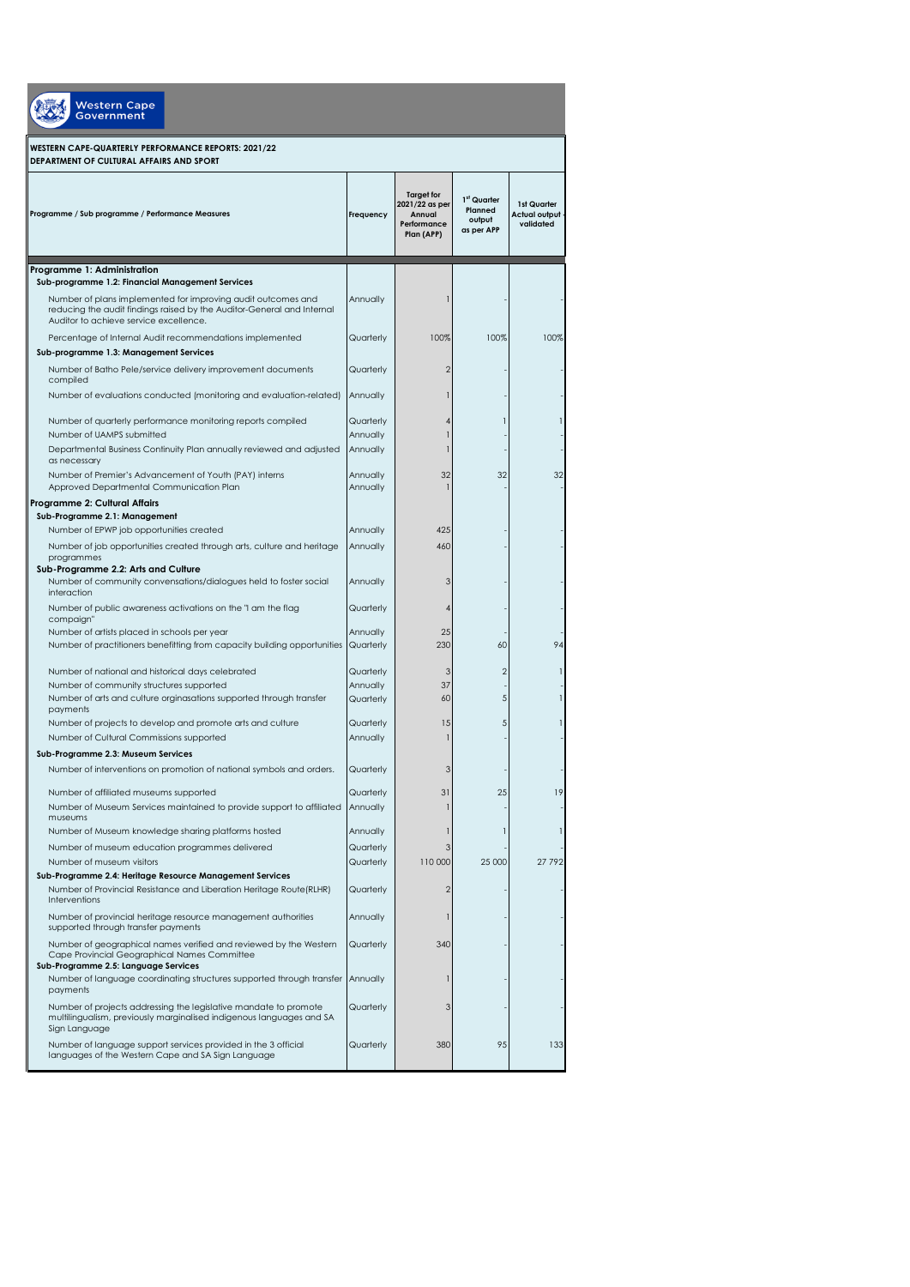| <b>Western Cape</b><br><b>Government</b>                                                                                                                                         |                       |                                                                            |                                                            |                                           |
|----------------------------------------------------------------------------------------------------------------------------------------------------------------------------------|-----------------------|----------------------------------------------------------------------------|------------------------------------------------------------|-------------------------------------------|
| WESTERN CAPE-QUARTERLY PERFORMANCE REPORTS: 2021/22<br>DEPARTMENT OF CULTURAL AFFAIRS AND SPORT                                                                                  |                       |                                                                            |                                                            |                                           |
| Programme / Sub programme / Performance Measures                                                                                                                                 | Frequency             | <b>Target for</b><br>2021/22 as per<br>Annual<br>Performance<br>Plan (APP) | 1 <sup>st</sup> Quarter<br>Planned<br>output<br>as per APP | 1st Quarter<br>Actual output<br>validated |
| Programme 1: Administration<br>Sub-programme 1.2: Financial Management Services                                                                                                  |                       |                                                                            |                                                            |                                           |
| Number of plans implemented for improving audit outcomes and<br>reducing the audit findings raised by the Auditor-General and Internal<br>Auditor to achieve service excellence. | Annually              |                                                                            |                                                            |                                           |
| Percentage of Internal Audit recommendations implemented                                                                                                                         | Quarterly             | 100%                                                                       | 100%                                                       | 100%                                      |
| Sub-programme 1.3: Management Services<br>Number of Batho Pele/service delivery improvement documents<br>compiled                                                                | Quarterly             | 2                                                                          |                                                            |                                           |
| Number of evaluations conducted (monitoring and evaluation-related)                                                                                                              | Annually              |                                                                            |                                                            |                                           |
| Number of quarterly performance monitoring reports compiled<br>Number of UAMPS submitted                                                                                         | Quarterly<br>Annually |                                                                            |                                                            |                                           |
| Departmental Business Continuity Plan annually reviewed and adjusted<br>as necessary                                                                                             | Annually              |                                                                            |                                                            |                                           |
| Number of Premier's Advancement of Youth (PAY) interns<br>Approved Departmental Communication Plan                                                                               | Annually<br>Annually  | 32                                                                         | 32                                                         | 32                                        |
| Programme 2: Cultural Affairs                                                                                                                                                    |                       |                                                                            |                                                            |                                           |
| Sub-Programme 2.1: Management<br>Number of EPWP job opportunities created                                                                                                        | Annually              | 425                                                                        |                                                            |                                           |
| Number of job opportunities created through arts, culture and heritage<br>programmes                                                                                             | Annually              | 460                                                                        |                                                            |                                           |
| Sub-Programme 2.2: Arts and Culture<br>Number of community convensations/dialogues held to foster social<br>interaction                                                          | Annually              | 3                                                                          |                                                            |                                           |
| Number of public awareness activations on the "I am the flag<br>compaign"                                                                                                        | Quarterly             |                                                                            |                                                            |                                           |
| Number of artists placed in schools per year<br>Number of practitioners benefitting from capacity building opportunities                                                         | Annually<br>Quarterly | 25<br>230                                                                  | 60                                                         | 94                                        |
| Number of national and historical days celebrated                                                                                                                                | Quarterly             | 3                                                                          | 2                                                          |                                           |
| Number of community structures supported<br>Number of arts and culture orginasations supported through transfer<br>payments                                                      | Annually<br>Quarterly | 37<br>60                                                                   | 5                                                          |                                           |
| Number of projects to develop and promote arts and culture                                                                                                                       | Quarterly             | 15                                                                         | 5                                                          |                                           |
| Number of Cultural Commissions supported<br>Sub-Programme 2.3: Museum Services                                                                                                   | Annually              |                                                                            |                                                            |                                           |
| Number of interventions on promotion of national symbols and orders.                                                                                                             | Quarterly             |                                                                            |                                                            |                                           |
| Number of affiliated museums supported<br>Number of Museum Services maintained to provide support to affiliated                                                                  | Quarterly<br>Annually | 31                                                                         | 25                                                         | 19                                        |
| museums<br>Number of Museum knowledge sharing platforms hosted                                                                                                                   | Annually              |                                                                            |                                                            |                                           |
| Number of museum education programmes delivered                                                                                                                                  | Quarterly             | 3                                                                          |                                                            |                                           |
| Number of museum visitors<br>Sub-Programme 2.4: Heritage Resource Management Services                                                                                            | Quarterly             | 110 000                                                                    | 25 000                                                     | 27 792                                    |
| Number of Provincial Resistance and Liberation Heritage Route(RLHR)<br>Interventions                                                                                             | Quarterly             | $\overline{2}$                                                             |                                                            |                                           |
| Number of provincial heritage resource management authorities<br>supported through transfer payments                                                                             | Annually              |                                                                            |                                                            |                                           |
| Number of geographical names verified and reviewed by the Western<br>Cape Provincial Geographical Names Committee<br>Sub-Programme 2.5: Language Services                        | Quarterly             | 340                                                                        |                                                            |                                           |
| Number of language coordinating structures supported through transfer<br>payments                                                                                                | Annually              |                                                                            |                                                            |                                           |
| Number of projects addressing the legislative mandate to promote<br>multilingualism, previously marginalised indigenous languages and SA<br>Sign Language                        | Quarterly             | 3                                                                          |                                                            |                                           |
| Number of language support services provided in the 3 official<br>languages of the Western Cape and SA Sign Language                                                             | Quarterly             | 380                                                                        | 95                                                         | 133                                       |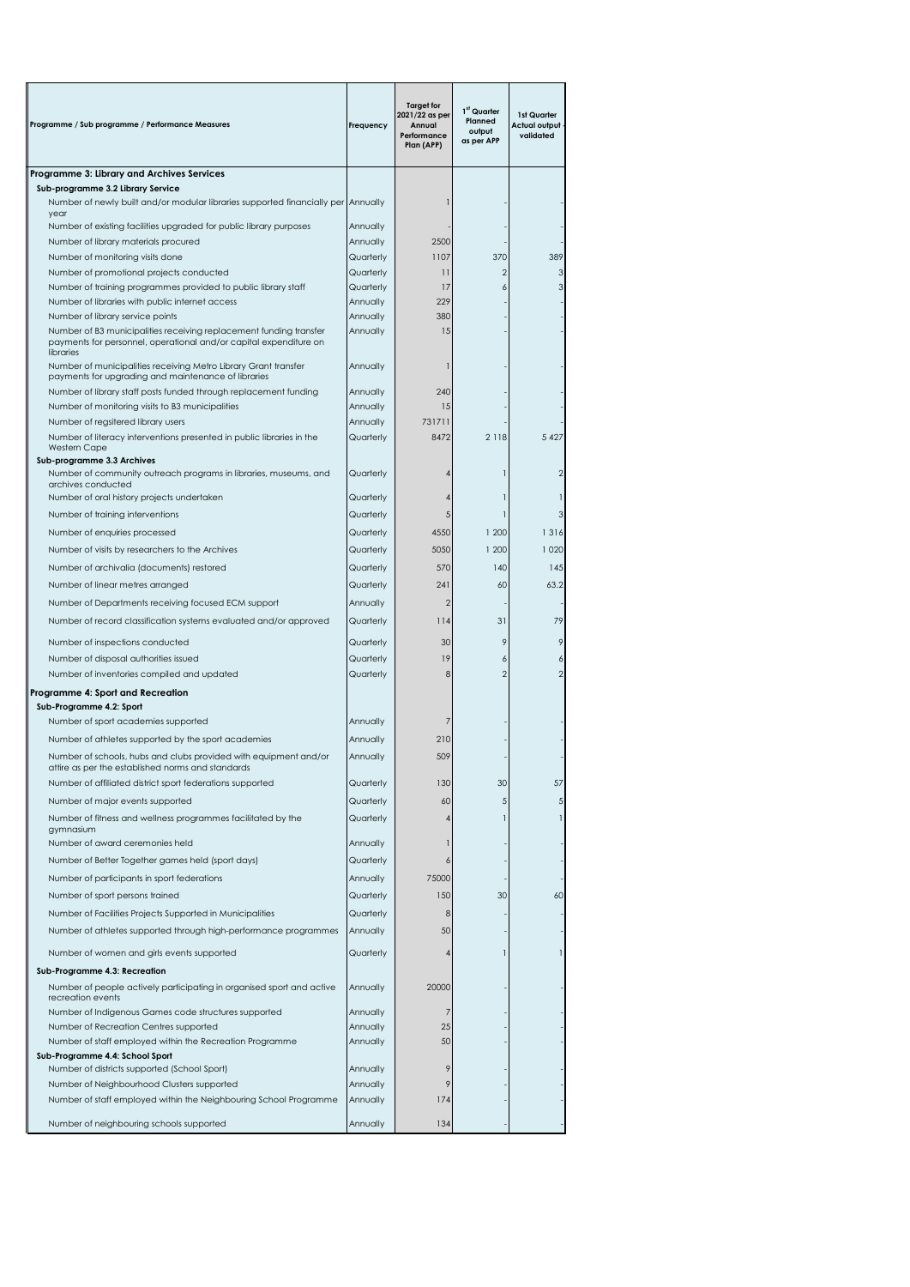| Programme / Sub programme / Performance Measures                                                                                                                             | Frequency              | <b>Target for</b><br>2021/22 as per<br>Annual<br>Performance<br>Plan (APP) | 1st Quarter<br>Planned<br>output<br>as per APP | 1st Quarter<br>Actual output<br>validated |
|------------------------------------------------------------------------------------------------------------------------------------------------------------------------------|------------------------|----------------------------------------------------------------------------|------------------------------------------------|-------------------------------------------|
| Programme 3: Library and Archives Services                                                                                                                                   |                        |                                                                            |                                                |                                           |
| Sub-programme 3.2 Library Service<br>Number of newly built and/or modular libraries supported financially per Annually<br>year                                               |                        |                                                                            |                                                |                                           |
| Number of existing facilities upgraded for public library purposes                                                                                                           | Annually               |                                                                            |                                                |                                           |
| Number of library materials procured                                                                                                                                         | Annually               | 2500                                                                       |                                                |                                           |
| Number of monitoring visits done                                                                                                                                             | Quarterly              | 1107                                                                       | 370                                            | 389                                       |
| Number of promotional projects conducted                                                                                                                                     | Quarterly              | 11                                                                         | 2                                              |                                           |
| Number of training programmes provided to public library staff                                                                                                               | Quarterly              | 17                                                                         | 6                                              |                                           |
| Number of libraries with public internet access                                                                                                                              | Annually               | 229                                                                        |                                                |                                           |
| Number of library service points                                                                                                                                             | Annually               | 380                                                                        |                                                |                                           |
| Number of B3 municipalities receiving replacement funding transfer<br>payments for personnel, operational and/or capital expenditure on<br>libraries                         | Annually               | 15                                                                         |                                                |                                           |
| Number of municipalities receiving Metro Library Grant transfer<br>payments for upgrading and maintenance of libraries                                                       | Annually               |                                                                            |                                                |                                           |
| Number of library staff posts funded through replacement funding                                                                                                             | Annually               | 240                                                                        |                                                |                                           |
| Number of monitoring visits to B3 municipalities                                                                                                                             | Annually               | 15                                                                         |                                                |                                           |
| Number of regsitered library users                                                                                                                                           | Annually               | 731711                                                                     |                                                |                                           |
| Number of literacy interventions presented in public libraries in the<br><b>Western Cape</b><br>Sub-programme 3.3 Archives                                                   | Quarterly              | 8472                                                                       | 2 1 1 8                                        | 5 4 2 7                                   |
| Number of community outreach programs in libraries, museums, and<br>archives conducted                                                                                       | Quarterly              |                                                                            |                                                |                                           |
| Number of oral history projects undertaken                                                                                                                                   | Quarterly              |                                                                            |                                                |                                           |
| Number of training interventions                                                                                                                                             | Quarterly              | 5                                                                          |                                                | 3                                         |
| Number of enquiries processed                                                                                                                                                | Quarterly              | 4550                                                                       | 1 200                                          | 1316                                      |
| Number of visits by researchers to the Archives                                                                                                                              | Quarterly              | 5050                                                                       | 1 200                                          | 1 0 2 0                                   |
| Number of archivalia (documents) restored                                                                                                                                    | Quarterly              | 570                                                                        | 140                                            | 145                                       |
|                                                                                                                                                                              |                        |                                                                            |                                                |                                           |
| Number of linear metres arranged                                                                                                                                             | Quarterly              | 241                                                                        | 60                                             | 63.2                                      |
| Number of Departments receiving focused ECM support                                                                                                                          | Annually               | $\overline{2}$                                                             |                                                |                                           |
| Number of record classification systems evaluated and/or approved                                                                                                            | Quarterly<br>Quarterly | 114<br>30                                                                  | 31<br>9                                        | 79                                        |
| Number of inspections conducted<br>Number of disposal authorities issued                                                                                                     | Quarterly              | 19                                                                         | 6                                              |                                           |
|                                                                                                                                                                              |                        | 8                                                                          | $\overline{2}$                                 |                                           |
| Number of inventories compiled and updated                                                                                                                                   | Quarterly              |                                                                            |                                                |                                           |
| Programme 4: Sport and Recreation<br>Sub-Programme 4.2: Sport                                                                                                                |                        |                                                                            |                                                |                                           |
| Number of sport academies supported                                                                                                                                          | Annually               |                                                                            |                                                |                                           |
|                                                                                                                                                                              |                        | 210                                                                        |                                                |                                           |
| Number of athletes supported by the sport academies<br>Number of schools, hubs and clubs provided with equipment and/or<br>attire as per the established norms and standards | Annually<br>Annually   | 509                                                                        |                                                |                                           |
| Number of affiliated district sport federations supported                                                                                                                    | Quarterly              | 130                                                                        | 30                                             | 57                                        |
|                                                                                                                                                                              |                        |                                                                            |                                                |                                           |
| Number of major events supported                                                                                                                                             | Quarterly              | 60                                                                         | 5                                              | 5 <sub>l</sub>                            |
| Number of fitness and wellness programmes facilitated by the<br>gymnasium<br>Number of award ceremonies held                                                                 | Quarterly<br>Annually  | 4                                                                          |                                                |                                           |
|                                                                                                                                                                              |                        |                                                                            |                                                |                                           |
| Number of Better Together games held (sport days)                                                                                                                            | Quarterly              | 6                                                                          |                                                |                                           |
| Number of participants in sport federations                                                                                                                                  | Annually               | 75000                                                                      |                                                |                                           |
| Number of sport persons trained                                                                                                                                              | Quarterly              | 150                                                                        | 30                                             | 60                                        |
| Number of Facilities Projects Supported in Municipalities                                                                                                                    | Quarterly              | 8                                                                          |                                                |                                           |
| Number of athletes supported through high-performance programmes                                                                                                             | Annually               | 50                                                                         | 1                                              |                                           |
| Number of women and girls events supported                                                                                                                                   | Quarterly              | $\overline{4}$                                                             |                                                |                                           |
| Sub-Programme 4.3: Recreation<br>Number of people actively participating in organised sport and active                                                                       | Annually               | 20000                                                                      |                                                |                                           |
| recreation events<br>Number of Indigenous Games code structures supported                                                                                                    | Annually               | 7                                                                          |                                                |                                           |
| Number of Recreation Centres supported                                                                                                                                       | Annually               | 25                                                                         |                                                |                                           |
| Number of staff employed within the Recreation Programme                                                                                                                     | Annually               | 50                                                                         |                                                |                                           |
| Sub-Programme 4.4: School Sport                                                                                                                                              |                        |                                                                            |                                                |                                           |
| Number of districts supported (School Sport)                                                                                                                                 | Annually               | 9                                                                          |                                                |                                           |
| Number of Neighbourhood Clusters supported                                                                                                                                   | Annually               | 9                                                                          |                                                |                                           |
| Number of staff employed within the Neighbouring School Programme                                                                                                            | Annually               | 174                                                                        |                                                |                                           |
| Number of neighbouring schools supported                                                                                                                                     | Annually               | 134                                                                        |                                                |                                           |